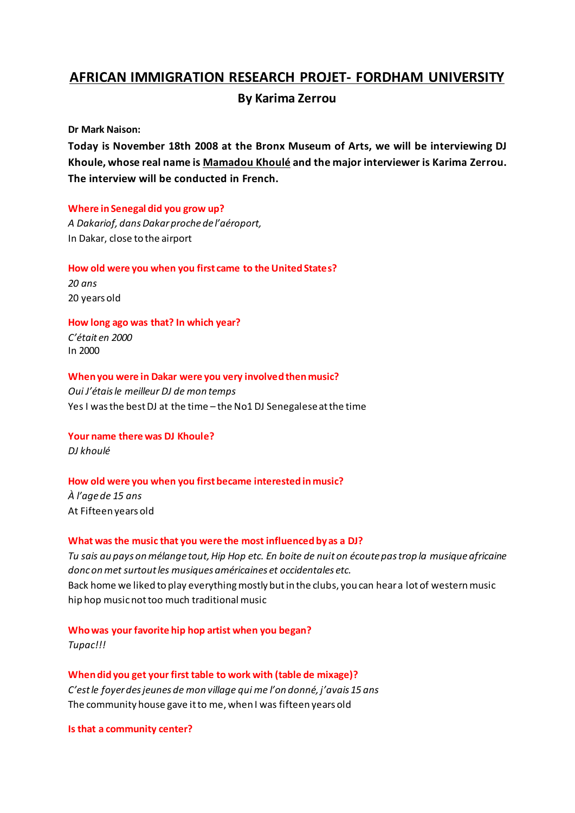# **AFRICAN'IMMIGRATION'RESEARCH'PROJET1 FORDHAM'UNIVERSITY**

# **By'Karima'Zerrou'**

**Dr'Mark'Naison:**

Today is November 18th 2008 at the Bronx Museum of Arts, we will be interviewing DJ **Khoule,'whose real'name'is'Mamadou'Khoulé and'the'major'interviewer'is'Karima'Zerrou.'** The interview will be conducted in French.

# **Where** in Senegal did you grow up?

*A Dakariof, dans Dakar proche de l'aéroport,* In Dakar, close to the airport

# How old were you when you first came to the United States?

*20"ans"* 20 years old

# How long ago was that? In which year?

*͛Ġtait"en"2000* In#2000

# **When'you'were'in'Dakar'were'you'very'involvedthen'music?**

Oui J'étais le meilleur DJ de mon temps Yes I was the best DJ at the time - the No1 DJ Senegalese at the time

# Your name there was DJ Khoule? *DJ"khoulé*

# **How'old'were'you'when'you'first'became'interested'in'music?**

*À l'age de 15 ans* At Fifteen years old

# **What was the music that you were the most influenced by as a DJ?**

*Tu"sais"au"pays"on"mélange"tout,"Hip"Hop"etc."En"boite"de"nuit"on"écoute"pas"trop"la musique"africaine"* donc on met surtout les musiques américaines et occidentales etc. Back home we liked to play everything mostly but in the clubs, you can hear a lot of western music hip hop music not too much traditional music

# **Who was your favorite hip hop artist when you began?**

*Tupac!!!*

# When did you get your first table to work with (table de mixage)? C'est le foyer des jeunes de mon village qui me l'on donné, j'avais 15 ans The community house gave it to me, when I was fifteen years old

Is that a community center?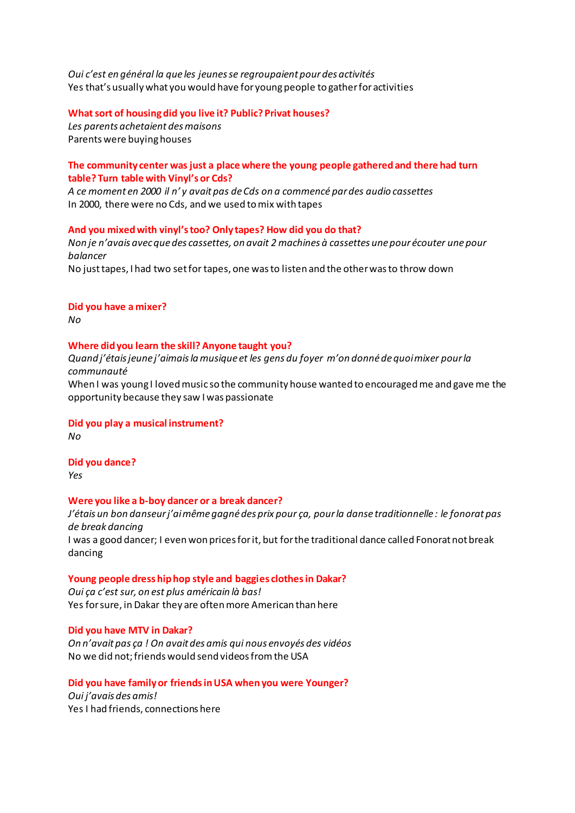*Oui c'est en général la que les jeunes se regroupaient pour des activités* Yes that's usually what you would have for young people to gather for activities

### **What'sort'of'housingdid'you'live'it? Public?'Privat houses?**

Les parents achetaient des maisons Parents were buying houses

### **The'community'center'was'just'a'place'where'the'young'people'gathered'and there'had turn'**  $table?$  Turn  $table$  with Vinyl's or Cds?

*A ce moment en 2000 il n'y avait pas de Cds on a commencé par des audio cassettes* In 2000, there were no Cds, and we used to mix with tapes

#### And you mixed with vinyl's too? Only tapes? How did you do that?

*Non je n'avais avec que des cassettes, on avait 2 machines à cassettes une pour écouter une pour balancer* No just tapes, I had two set for tapes, one was to listen and the other was to throw down

#### **Did you have a mixer?**

*No*

#### **Where did you learn the skill? Anyone taught you?**

*YƵĂŶĚũ͛ĠƚĂŝƐũĞƵŶĞũ͛ĂŝŵĂŝƐůĂŵƵƐŝƋƵĞĞƚůĞƐ gens"du"foyer"ŵ͛ŽŶĚŽŶŶĠĚĞƋƵŽŝŵŝdžĞƌƉŽƵƌůĂ communauté*

When I was young I loved music so the community house wanted to encouraged me and gave me the opportunity because they saw I was passionate

#### **Did'you'play'a'musical'instrument?**

*No*

**Did'you'dance?** *Yes*

### **Were'you'like'a'b1boy'dancer'or a break'dancer?'**

*:͛ĠƚĂŝƐƵŶďŽŶĚĂŶƐĞƵƌũ͛ĂŝŵġŵĞŐĂŐŶĠĚĞƐƉƌŝdžƉŽƵƌça,"pour"la"danse traditionnelle :"le"fonorat"pas" de"break"dancing* I was a good dancer; I even won prices for it, but for the traditional dance called Fonorat not break dancing

### Young people dress hip hop style and baggies clothes in Dakar?

*Oui ça c'est sur, on est plus américain là bas!* Yes for sure, in Dakar they are often more American than here

#### **Did you have MTV in Dakar?**

*On"Ŷ͛avait"pas"ça !"On"avait"des"amis"qui"nous"envoyés"des"vidéos* No we did not; friends would send videos from the USA

### **Did'you'have'family'or friends'in'USA'when'you'were Younger?**

Oui j'avais des amis! Yes I had friends, connections here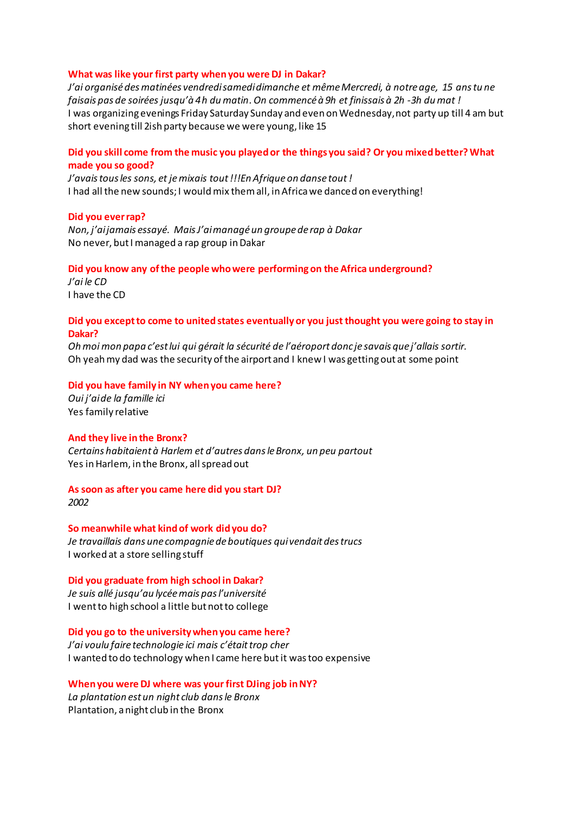#### What was like your first party when you were DJ in Dakar?

*:͛ĂŝŽƌŐĂŶŝƐĠĚĞƐŵĂƚŝŶĠĞƐǀĞŶĚƌĞĚŝƐĂŵĞĚŝĚŝŵĂŶĐŚĞ et"mêmeMercredi,"à notre"age,"15" ans"tu"ne" faisais pas de soirées jusqu'à 4h du matin. On commencé à 9h et finissais à 2h -3h du mat!* I was organizing evenings Friday Saturday Sunday and even on Wednesday, not party up till 4 am but short evening till 2ish party because we were young, like 15

### **Did'you'skill'come'from'the'music'you'played'or'the'things'you'said? Or'you'mixed'better? What'** made you so good?

*I'avais tous les sons, et je mixais tout !!!En Afrique on danse tout!* I had all the new sounds; I would mix them all, in Africa we danced on everything!

#### **Did you ever rap?**

*Non, j'ai jamais essayé. Mais J'ai managé un groupe de rap à Dakar* No never, but I managed a rap group in Dakar

#### **Did'you'know'any'of'the'people'who'were'performing on'the'Africa'underground?**

*l'ai* le CD I have the CD

### **Did'you'except'to'come'to'united states eventually or you'just'thought'you'were'going to'stay'in' Dakar?**

*Oh moi mon papa c'est lui qui gérait la sécurité de l'aéroport donc je savais que j'allais sortir.* Oh yeah my dad was the security of the airport and I knew I was getting out at some point

#### Did you have family in NY when you came here?

*KƵŝũ͛ĂŝĚĞ la"famille"ici* Yes family relative

#### And they live in the Bronx?

*Certains"habitaient"à"HĂƌůĞŵĞƚĚ͛ĂƵƚƌĞƐĚĂŶƐůĞƌŽŶdž͕un"peu"partout* Yes in Harlem, in the Bronx, all spread out

As soon as after you came here did you start DJ? *2002*

**So'meanwhile'what'kind'of'work'did'you'do?** *Je"travaillais"dans"une"compagnie"de"boutiques"qui"vendait"des"trucs* I worked at a store selling stuff

### **Did you graduate from high school in Dakar?**

*Je suis allé jusqu'au lycée mais pas l'université* I went to high school a little but not to college

Did you go to the university when you came here? *J'ai voulu faire technologie ici mais c'était trop cher* I wanted to do technology when I came here but it was too expensive

**When'you'were'DJ'where'was'your'first'DJing job'in'NY?** La plantation est un night club dans le Bronx Plantation, a night club in the Bronx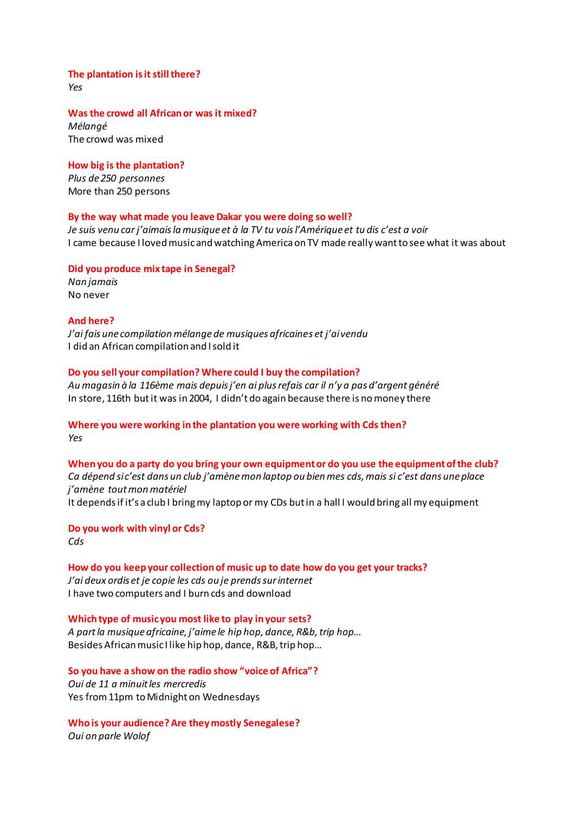The plantation is it still there? Yes

Was the crowd all African or was it mixed? Mélanaé The crowd was mixed

How big is the plantation? Plus de 250 personnes More than 250 persons

#### By the way what made you leave Dakar you were doing so well?

Je suis venu car j'aimais la musique et à la TV tu vois l'Amérique et tu dis c'est a voir I came because I loved music and watching America on TV made really want to see what it was about

Did you produce mix tape in Senegal?

Nan jamais No never

### **And here?**

J'ai fais une compilation mélange de musiques africaines et j'aivendu I did an African compilation and I sold it

#### Do you sell your compilation? Where could I buy the compilation?

Au magasin à la 116ème mais depuis j'en ai plus refais car il n'y a pas d'argent généré In store, 116th but it was in 2004, I didn't do again because there is no money there

# Where you were working in the plantation you were working with Cds then? Yes

When you do a party do you bring your own equipment or do you use the equipment of the club? Ca dépend sic'est dans un club j'amène mon laptop ou bien mes cds, mais si c'est dans une place j'amène tout mon matériel It depends if it's a club I bring my laptop or my CDs but in a hall I would bring all my equipment

Do you work with vinyl or Cds? Cds

How do you keep your collection of music up to date how do you get your tracks? J'ai deux ordis et je copie les cds ou je prends sur internet I have two computers and I burn cds and download

Which type of music you most like to play in your sets? A part la musique africaine, j'aime le hip hop, dance, R&b, trip hop... Besides African music I like hip hop, dance, R&B, trip hop...

So you have a show on the radio show "voice of Africa"? Oui de 11 a minuit les mercredis Yes from 11pm to Midnight on Wednesdays

Who is your audience? Are they mostly Senegalese? Oui on parle Wolof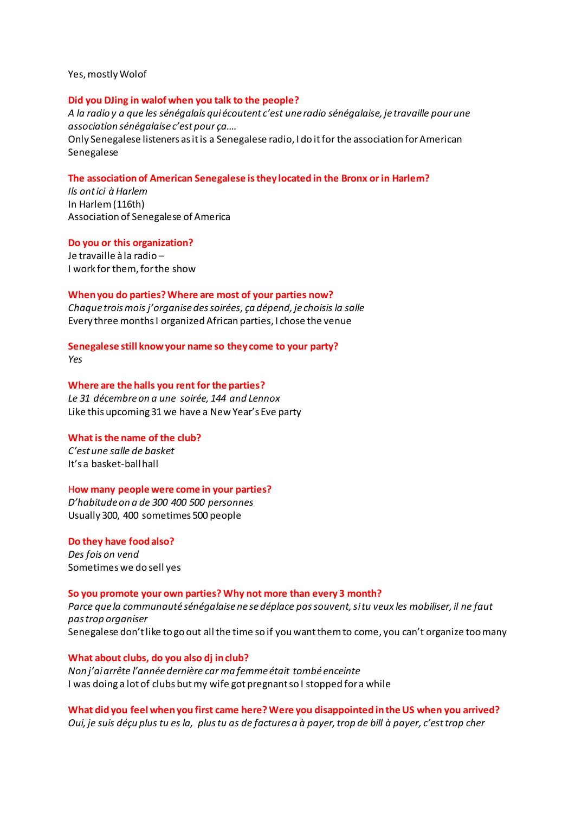Yes, mostly Wolof

#### **Did'you'DJing'in walof when'you'talk'to'the'people?**

A la radio y a que les sénégalais qui écoutent c'est une radio sénégalaise, je travaille pour une *association sénégalaise c'est pour ca....* Only Senegalese listeners as it is a Senegalese radio, I do it for the association for American Senegalese

#### **The'association'of'American'Senegalese'isthey'located in'the'Bronx'or'in'Harlem?**

*Ils ont ici à Harlem* In Harlem (116th) Association of Senegalese of America

#### **Do'you'or this'organization?**

Je travaille à la radio -I work for them, for the show

#### **When'you'do'parties?'Where are'most'of'your'parties now?**

*Chaque"troiƐŵŽŝƐũ͛ŽƌŐĂŶŝƐĞĚĞƐƐŽŝƌĠĞƐ,"ça dépend,"je"choisis"la"salle* Every three months I organized African parties, I chose the venue

Senegalese still know your name so they come to your party?

*Yes*

#### Where are the halls you rent for the parties?

Le 31 décembre on a une soirée, 144 and Lennox Like this upcoming 31 we have a New Year's Eve party

#### **What is the name of the club?**

 $C$ 'est une salle de basket It's a basket-ballhall

#### H**ow'many'people'were'come'in'your'parties?**

*͛ŚĂďŝƚƵĚĞŽŶĂde"300 400 500" personnes* Usually 300, 400 sometimes 500 people

# **Do'they'have'food'also? Des fois on vend**

Sometimes we do sell yes

#### **So'you'promote'your'own'parties? Why not'more'than'every'3'month?**

Parce que la communauté sénégalaise ne se déplace pas souvent, si tu veux les mobiliser, il ne faut *pas"trop"organiser* Senegalese don't like to go out all the time so if you want them to come, you can't organize too many

#### What about clubs, do you also dj in club?

*EŽŶũ͛ĂŝĂrƌġƚĞů͛ĂŶŶĠĞĚĞƌŶŝğƌĞĐĂƌŵĂĨĞŵŵĞĠƚĂŝƚtombé enceinte* I was doing a lot of clubs but my wife got pregnant so I stopped for a while

**What'did'you'feel'when'you first came'here?Were'you'disappointed'in'the'US'when'you'arrived?** *Oui,* je suis déçu plus tu es la, plus tu as de factures a à payer, trop de bill à payer, c'est trop cher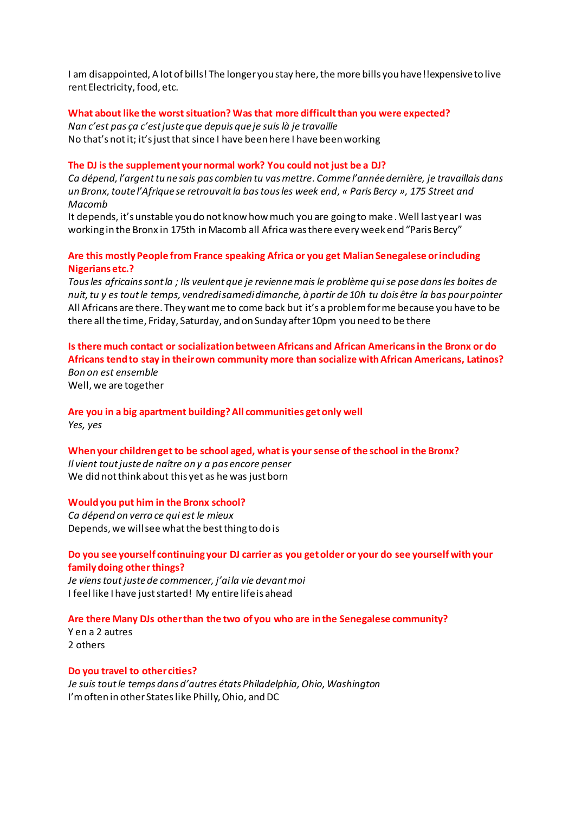I am disappointed, A lot of bills! The longer you stay here, the more bills you have!!expensive to live rent Electricity, food, etc.

### What about like the worst situation? Was that more difficult than you were expected?

*EĂŶĐ͛ĞƐƚƉĂƐça Đ͛ĞƐƚũƵƐƚĞƋƵĞdepuis"que"je"suis"là"je"travaille"* No that's not it; it's just that since I have been here I have been working

# The DJ is the supplement your normal work? You could not just be a DJ?

Ca dépend, l'argent tu ne sais pas combien tu vas mettre. Comme l'année dernière, je travaillais dans *ƵŶƌŽŶdž͕ƚŽƵƚĞů͛ĨƌŝƋƵĞƐĞƌĞƚƌŽƵǀĂŝƚůĂďĂƐƚŽƵƐůĞƐǁĞĞŬĞŶĚ, « Paris"Bercy »,"175"Street"and" Macomb*

It depends, it's unstable you do not know how much you are going to make. Well last year I was working in the Bronx in 175th in Macomb all Africa was there every week end "Paris Bercy"

# Are this mostly People from France speaking Africa or you get Malian Senegalese or including **Nigerians'etc.?'**

Tous les africains sont la ; Ils veulent que je revienne mais le problème qui se pose dans les boites de *nuit,"tu"y"es"tout"le"temps,"vendredi"samedi"dimanche,"à"partir"de"10h"tu"dois"être"la"bas pour"pointer"* All Africans are there. They want me to come back but it's a problem for me because you have to be there all the time, Friday, Saturday, and on Sunday after 10pm you need to be there

# **Is'there much'contact'or'socialization'between'Africans and'African Americansin'the'Bronx'or'do' Africans tend'to'stay'in'their'own'community'more'than'socialize'with'African'Americans, Latinos?** *Bon"on"est ensemble"*

Well, we are together

# **Are'you'in'a'big'apartment building?'All'communities get'only'well**

*Yes,"yes*

### **When your children get to be school aged, what is your sense of the school in the Bronx?**

*Il vient tout juste de naître on y a pas encore penser* We did not think about this yet as he was just born

### **Would you put him in the Bronx school?**

*Ca dépend on verra ce qui est le mieux* Depends, we will see what the best thing to do is

# **Do'you see'yourself'continuing'your DJ'carrier as'you'get'older'or'your'do'see'yourself'with'your' family'doing'other'things?**

*Je viens tout juste de commencer, j'ai la vie devant moi* I feel like I have just started! My entire life is ahead

# **Are'there'Many'DJs'other'than'the'two'of'you'who'are'in'the'Senegalese'community?**

Y en a 2 autres 2 others

### **Do you travel to other cities?**

*:ĞƐƵŝƐƚŽƵƚůĞƚĞŵƉƐĚĂŶƐĚ͛ĂƵƚƌĞƐ états Philadelphia,"Ohio,"Washington* I'm often in other States like Philly, Ohio, and DC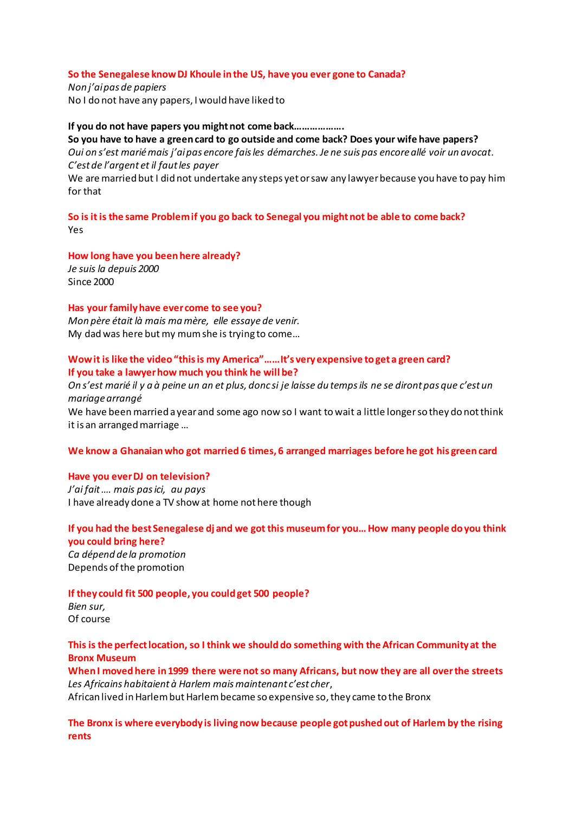#### So the Senegalese know DJ Khoule in the US, have you ever gone to Canada?

Non j'ai pas de papiers No I do not have any papers, I would have liked to

#### If you do not have papers you might not come back....................

#### So you have to have a green card to go outside and come back? Does your wife have papers?

Oui on s'est marié mais j'ai pas encore fais les démarches. Je ne suis pas encore allé voir un avocat. C'est de l'argent et il faut les payer

We are married but I did not undertake any steps yet or saw any lawyer because you have to pay him for that

So is it is the same Problem if you go back to Senegal you might not be able to come back? Yes

How long have you been here already? Je suis la depuis 2000 Since 2000

#### Has your family have ever come to see you?

Mon père était là mais ma mère, elle essaye de venir. My dad was here but my mum she is trying to come...

### Wow it is like the video "this is my America"...... It's very expensive to get a green card? If you take a lawyer how much you think he will be?

On s'est marié il y a à peine un an et plus, donc si je laisse du temps ils ne se diront pas que c'est un mariage arrangé

We have been married a year and some ago now so I want to wait a little longer so they do not think it is an arranged marriage...

#### We know a Ghanaian who got married 6 times, 6 arranged marriages before he got his green card

#### Have you ever DJ on television?

J'ai fait .... mais pas ici, au pays I have already done a TV show at home not here though

# If you had the best Senegalese dj and we got this museum for you... How many people do you think you could bring here?

Ca dépend de la promotion Depends of the promotion

#### If they could fit 500 people, you could get 500 people?

Bien sur, Of course

### This is the perfect location, so I think we should do something with the African Community at the **Bronx Museum**

When I moved here in 1999 there were not so many Africans, but now they are all over the streets Les Africains habitaient à Harlem mais maintenant c'est cher, African lived in Harlem but Harlem became so expensive so, they came to the Bronx

The Bronx is where everybody is living now because people got pushed out of Harlem by the rising rents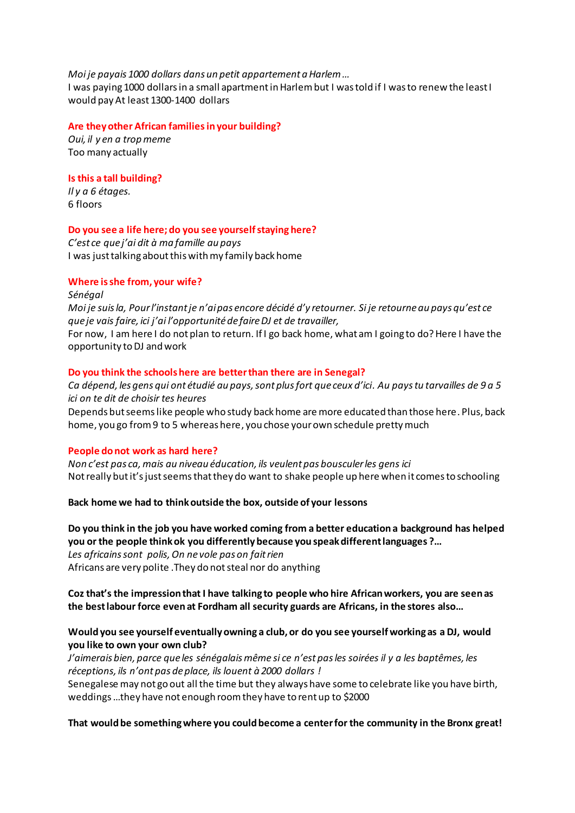Moi je payais 1000 dollars dans un petit appartement a Harlem ...

I was paying 1000 dollars in a small apartment in Harlem but I was told if I was to renew the least I would pay At least 1300-1400 dollars

### Are they other African families in your building?

Oui, il y en a trop meme Too many actually

# Is this a tall building?

Il y a 6 étages. 6 floors

# Do you see a life here; do you see yourself staying here?

C'est ce que j'ai dit à ma famille au pays I was just talking about this with my family back home

# Where is she from, your wife?

Sénégal Moi je suis la, Pour l'instant je n'ai pas encore décidé d'y retourner. Si je retourne au pays qu'est ce que je vais faire, ici j'ai l'opportunité de faire DJ et de travailler, For now, I am here I do not plan to return. If I go back home, what am I going to do? Here I have the opportunity to DJ and work

# Do you think the schools here are better than there are in Senegal?

Ca dépend, les gens qui ont étudié au pays, sont plus fort que ceux d'ici. Au pays tu tarvailles de 9 a 5 ici on te dit de choisir tes heures

Depends but seems like people who study back home are more educated than those here. Plus, back home, you go from 9 to 5 whereas here, you chose your own schedule pretty much

# People do not work as hard here?

Non c'est pas ca, mais au niveau éducation, ils veulent pas bousculer les gens ici Not really but it's just seems that they do want to shake people up here when it comes to schooling

### Back home we had to think outside the box, outside of your lessons

# Do you think in the job you have worked coming from a better education a background has helped you or the people think ok you differently because you speak different languages ?...

Les africains sont polis, On ne vole pas on fait rien Africans are very polite . They do not steal nor do anything

Coz that's the impression that I have talking to people who hire African workers, you are seen as the best labour force even at Fordham all security guards are Africans, in the stores also...

# Would you see yourself eventually owning a club, or do you see yourself working as a DJ, would you like to own your own club?

J'aimerais bien, parce que les sénégalais même si ce n'est pas les soirées il y a les baptêmes, les réceptions, ils n'ont pas de place, ils louent à 2000 dollars!

Senegalese may not go out all the time but they always have some to celebrate like you have birth, weddings ... they have not enough room they have to rent up to \$2000

# That would be something where you could become a center for the community in the Bronx great!